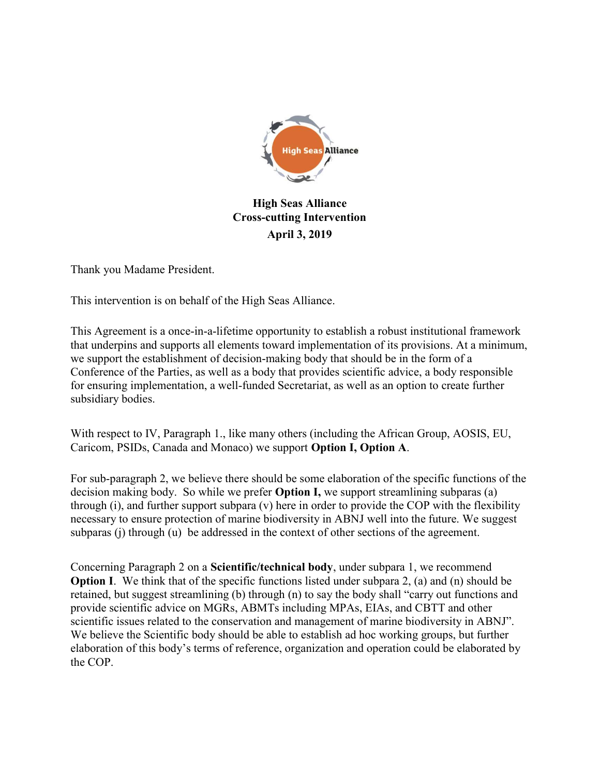

High Seas Alliance Cross-cutting Intervention April 3, 2019

Thank you Madame President.

This intervention is on behalf of the High Seas Alliance.

This Agreement is a once-in-a-lifetime opportunity to establish a robust institutional framework that underpins and supports all elements toward implementation of its provisions. At a minimum, we support the establishment of decision-making body that should be in the form of a Conference of the Parties, as well as a body that provides scientific advice, a body responsible for ensuring implementation, a well-funded Secretariat, as well as an option to create further subsidiary bodies.

With respect to IV, Paragraph 1., like many others (including the African Group, AOSIS, EU, Caricom, PSIDs, Canada and Monaco) we support Option I, Option A.

For sub-paragraph 2, we believe there should be some elaboration of the specific functions of the decision making body. So while we prefer Option I, we support streamlining subparas (a) through (i), and further support subpara (v) here in order to provide the COP with the flexibility necessary to ensure protection of marine biodiversity in ABNJ well into the future. We suggest subparas (j) through (u) be addressed in the context of other sections of the agreement.

Concerning Paragraph 2 on a Scientific/technical body, under subpara 1, we recommend Option I. We think that of the specific functions listed under subpara 2, (a) and (n) should be retained, but suggest streamlining (b) through (n) to say the body shall "carry out functions and provide scientific advice on MGRs, ABMTs including MPAs, EIAs, and CBTT and other scientific issues related to the conservation and management of marine biodiversity in ABNJ". We believe the Scientific body should be able to establish ad hoc working groups, but further elaboration of this body's terms of reference, organization and operation could be elaborated by the COP.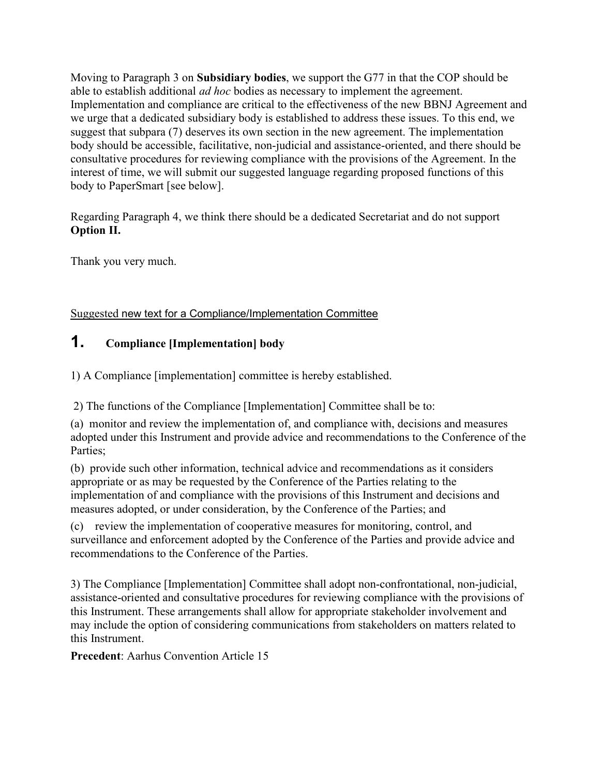Moving to Paragraph 3 on Subsidiary bodies, we support the G77 in that the COP should be able to establish additional *ad hoc* bodies as necessary to implement the agreement. Implementation and compliance are critical to the effectiveness of the new BBNJ Agreement and we urge that a dedicated subsidiary body is established to address these issues. To this end, we suggest that subpara (7) deserves its own section in the new agreement. The implementation body should be accessible, facilitative, non-judicial and assistance-oriented, and there should be consultative procedures for reviewing compliance with the provisions of the Agreement. In the interest of time, we will submit our suggested language regarding proposed functions of this body to PaperSmart [see below].

Regarding Paragraph 4, we think there should be a dedicated Secretariat and do not support Option II.

Thank you very much.

Suggested new text for a Compliance/Implementation Committee

## 1. Compliance [Implementation] body

1) A Compliance [implementation] committee is hereby established.

2) The functions of the Compliance [Implementation] Committee shall be to:

(a) monitor and review the implementation of, and compliance with, decisions and measures adopted under this Instrument and provide advice and recommendations to the Conference of the Parties;

(b) provide such other information, technical advice and recommendations as it considers appropriate or as may be requested by the Conference of the Parties relating to the implementation of and compliance with the provisions of this Instrument and decisions and measures adopted, or under consideration, by the Conference of the Parties; and

(c) review the implementation of cooperative measures for monitoring, control, and surveillance and enforcement adopted by the Conference of the Parties and provide advice and recommendations to the Conference of the Parties.

3) The Compliance [Implementation] Committee shall adopt non-confrontational, non-judicial, assistance-oriented and consultative procedures for reviewing compliance with the provisions of this Instrument. These arrangements shall allow for appropriate stakeholder involvement and may include the option of considering communications from stakeholders on matters related to this Instrument.

Precedent: Aarhus Convention Article 15